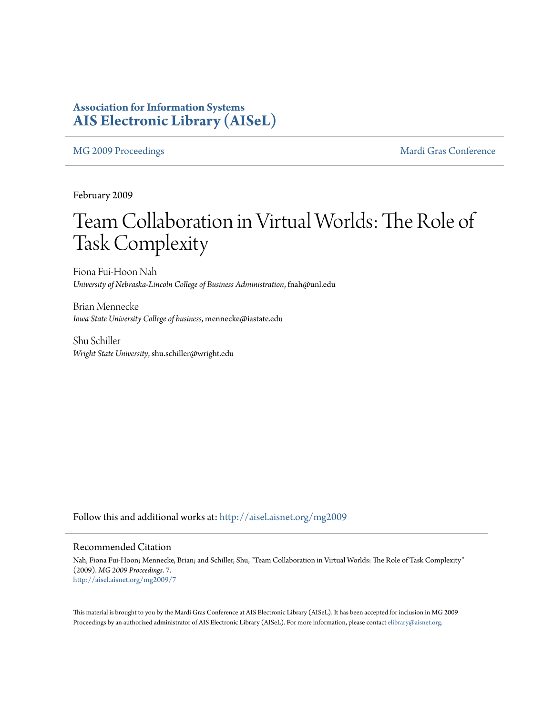### **Association for Information Systems [AIS Electronic Library \(AISeL\)](http://aisel.aisnet.org?utm_source=aisel.aisnet.org%2Fmg2009%2F7&utm_medium=PDF&utm_campaign=PDFCoverPages)**

[MG 2009 Proceedings](http://aisel.aisnet.org/mg2009?utm_source=aisel.aisnet.org%2Fmg2009%2F7&utm_medium=PDF&utm_campaign=PDFCoverPages) and the [Mardi Gras Conference](http://aisel.aisnet.org/mg?utm_source=aisel.aisnet.org%2Fmg2009%2F7&utm_medium=PDF&utm_campaign=PDFCoverPages)

February 2009

# Team Collaboration in Virtual Worlds: The Role of Task Complexity

Fiona Fui-Hoon Nah *University of Nebraska-Lincoln College of Business Administration*, fnah@unl.edu

Brian Mennecke *Iowa State University College of business*, mennecke@iastate.edu

Shu Schiller *Wright State University*, shu.schiller@wright.edu

Follow this and additional works at: [http://aisel.aisnet.org/mg2009](http://aisel.aisnet.org/mg2009?utm_source=aisel.aisnet.org%2Fmg2009%2F7&utm_medium=PDF&utm_campaign=PDFCoverPages)

### Recommended Citation

Nah, Fiona Fui-Hoon; Mennecke, Brian; and Schiller, Shu, "Team Collaboration in Virtual Worlds: The Role of Task Complexity" (2009). *MG 2009 Proceedings*. 7. [http://aisel.aisnet.org/mg2009/7](http://aisel.aisnet.org/mg2009/7?utm_source=aisel.aisnet.org%2Fmg2009%2F7&utm_medium=PDF&utm_campaign=PDFCoverPages)

This material is brought to you by the Mardi Gras Conference at AIS Electronic Library (AISeL). It has been accepted for inclusion in MG 2009 Proceedings by an authorized administrator of AIS Electronic Library (AISeL). For more information, please contact [elibrary@aisnet.org](mailto:elibrary@aisnet.org%3E).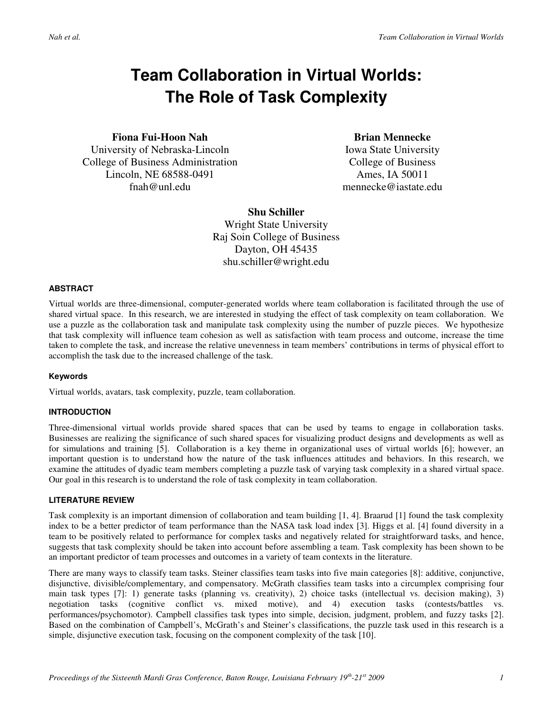## **Team Collaboration in Virtual Worlds: The Role of Task Complexity**

**Fiona Fui-Hoon Nah**  University of Nebraska-Lincoln

College of Business Administration Lincoln, NE 68588-0491 fnah@unl.edu

**Brian Mennecke** 

Iowa State University College of Business Ames, IA 50011 mennecke@iastate.edu

**Shu Schiller**  Wright State University Raj Soin College of Business Dayton, OH 45435 shu.schiller@wright.edu

#### **ABSTRACT**

Virtual worlds are three-dimensional, computer-generated worlds where team collaboration is facilitated through the use of shared virtual space. In this research, we are interested in studying the effect of task complexity on team collaboration. We use a puzzle as the collaboration task and manipulate task complexity using the number of puzzle pieces. We hypothesize that task complexity will influence team cohesion as well as satisfaction with team process and outcome, increase the time taken to complete the task, and increase the relative unevenness in team members' contributions in terms of physical effort to accomplish the task due to the increased challenge of the task.

#### **Keywords**

Virtual worlds, avatars, task complexity, puzzle, team collaboration.

#### **INTRODUCTION**

Three-dimensional virtual worlds provide shared spaces that can be used by teams to engage in collaboration tasks. Businesses are realizing the significance of such shared spaces for visualizing product designs and developments as well as for simulations and training [5]. Collaboration is a key theme in organizational uses of virtual worlds [6]; however, an important question is to understand how the nature of the task influences attitudes and behaviors. In this research, we examine the attitudes of dyadic team members completing a puzzle task of varying task complexity in a shared virtual space. Our goal in this research is to understand the role of task complexity in team collaboration.

#### **LITERATURE REVIEW**

Task complexity is an important dimension of collaboration and team building [1, 4]. Braarud [1] found the task complexity index to be a better predictor of team performance than the NASA task load index [3]. Higgs et al. [4] found diversity in a team to be positively related to performance for complex tasks and negatively related for straightforward tasks, and hence, suggests that task complexity should be taken into account before assembling a team. Task complexity has been shown to be an important predictor of team processes and outcomes in a variety of team contexts in the literature.

There are many ways to classify team tasks. Steiner classifies team tasks into five main categories [8]: additive, conjunctive, disjunctive, divisible/complementary, and compensatory. McGrath classifies team tasks into a circumplex comprising four main task types [7]: 1) generate tasks (planning vs. creativity), 2) choice tasks (intellectual vs. decision making), 3) negotiation tasks (cognitive conflict vs. mixed motive), and 4) execution tasks (contests/battles vs. performances/psychomotor). Campbell classifies task types into simple, decision, judgment, problem, and fuzzy tasks [2]. Based on the combination of Campbell's, McGrath's and Steiner's classifications, the puzzle task used in this research is a simple, disjunctive execution task, focusing on the component complexity of the task [10].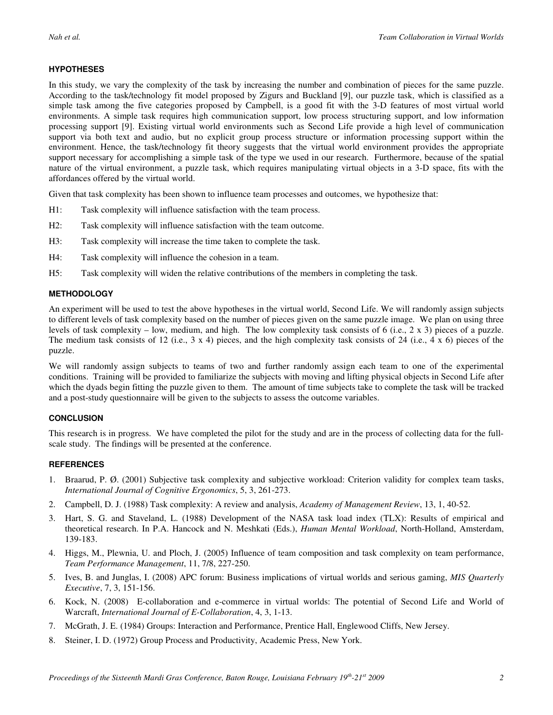#### **HYPOTHESES**

In this study, we vary the complexity of the task by increasing the number and combination of pieces for the same puzzle. According to the task/technology fit model proposed by Zigurs and Buckland [9], our puzzle task, which is classified as a simple task among the five categories proposed by Campbell, is a good fit with the 3-D features of most virtual world environments. A simple task requires high communication support, low process structuring support, and low information processing support [9]. Existing virtual world environments such as Second Life provide a high level of communication support via both text and audio, but no explicit group process structure or information processing support within the environment. Hence, the task/technology fit theory suggests that the virtual world environment provides the appropriate support necessary for accomplishing a simple task of the type we used in our research. Furthermore, because of the spatial nature of the virtual environment, a puzzle task, which requires manipulating virtual objects in a 3-D space, fits with the affordances offered by the virtual world.

Given that task complexity has been shown to influence team processes and outcomes, we hypothesize that:

- H1: Task complexity will influence satisfaction with the team process.
- H2: Task complexity will influence satisfaction with the team outcome.
- H3: Task complexity will increase the time taken to complete the task.
- H4: Task complexity will influence the cohesion in a team.
- H5: Task complexity will widen the relative contributions of the members in completing the task.

#### **METHODOLOGY**

An experiment will be used to test the above hypotheses in the virtual world, Second Life. We will randomly assign subjects to different levels of task complexity based on the number of pieces given on the same puzzle image. We plan on using three levels of task complexity – low, medium, and high. The low complexity task consists of 6 (i.e., 2 x 3) pieces of a puzzle. The medium task consists of 12 (i.e., 3 x 4) pieces, and the high complexity task consists of 24 (i.e., 4 x 6) pieces of the puzzle.

We will randomly assign subjects to teams of two and further randomly assign each team to one of the experimental conditions. Training will be provided to familiarize the subjects with moving and lifting physical objects in Second Life after which the dyads begin fitting the puzzle given to them. The amount of time subjects take to complete the task will be tracked and a post-study questionnaire will be given to the subjects to assess the outcome variables.

#### **CONCLUSION**

This research is in progress. We have completed the pilot for the study and are in the process of collecting data for the fullscale study. The findings will be presented at the conference.

#### **REFERENCES**

- 1. Braarud, P. Ø. (2001) Subjective task complexity and subjective workload: Criterion validity for complex team tasks, *International Journal of Cognitive Ergonomics*, 5, 3, 261-273.
- 2. Campbell, D. J. (1988) Task complexity: A review and analysis, *Academy of Management Review*, 13, 1, 40-52.
- 3. Hart, S. G. and Staveland, L. (1988) Development of the NASA task load index (TLX): Results of empirical and theoretical research. In P.A. Hancock and N. Meshkati (Eds.), *Human Mental Workload*, North-Holland, Amsterdam, 139-183.
- 4. Higgs, M., Plewnia, U. and Ploch, J. (2005) Influence of team composition and task complexity on team performance, *Team Performance Management*, 11, 7/8, 227-250.
- 5. Ives, B. and Junglas, I. (2008) APC forum: Business implications of virtual worlds and serious gaming, *MIS Quarterly Executive*, 7, 3, 151-156.
- 6. Kock, N. (2008) E-collaboration and e-commerce in virtual worlds: The potential of Second Life and World of Warcraft, *International Journal of E-Collaboration*, 4, 3, 1-13.
- 7. McGrath, J. E. (1984) Groups: Interaction and Performance, Prentice Hall, Englewood Cliffs, New Jersey.
- 8. Steiner, I. D. (1972) Group Process and Productivity, Academic Press, New York.